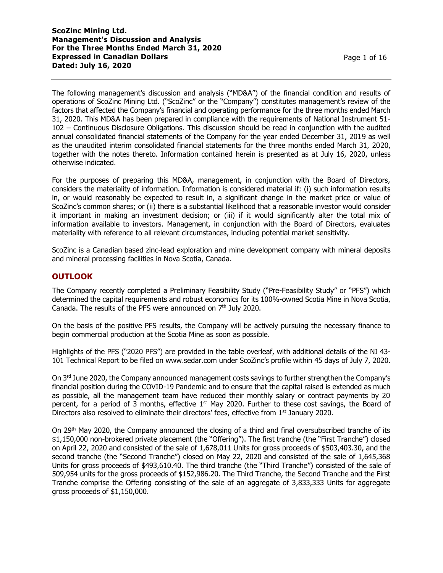The following management's discussion and analysis ("MD&A") of the financial condition and results of operations of ScoZinc Mining Ltd. ("ScoZinc" or the "Company") constitutes management's review of the factors that affected the Company's financial and operating performance for the three months ended March 31, 2020. This MD&A has been prepared in compliance with the requirements of National Instrument 51- 102 – Continuous Disclosure Obligations. This discussion should be read in conjunction with the audited annual consolidated financial statements of the Company for the year ended December 31, 2019 as well as the unaudited interim consolidated financial statements for the three months ended March 31, 2020, together with the notes thereto. Information contained herein is presented as at July 16, 2020, unless otherwise indicated.

For the purposes of preparing this MD&A, management, in conjunction with the Board of Directors, considers the materiality of information. Information is considered material if: (i) such information results in, or would reasonably be expected to result in, a significant change in the market price or value of ScoZinc's common shares; or (ii) there is a substantial likelihood that a reasonable investor would consider it important in making an investment decision; or (iii) if it would significantly alter the total mix of information available to investors. Management, in conjunction with the Board of Directors, evaluates materiality with reference to all relevant circumstances, including potential market sensitivity.

ScoZinc is a Canadian based zinc-lead exploration and mine development company with mineral deposits and mineral processing facilities in Nova Scotia, Canada.

## **OUTLOOK**

The Company recently completed a Preliminary Feasibility Study ("Pre-Feasibility Study" or "PFS") which determined the capital requirements and robust economics for its 100%-owned Scotia Mine in Nova Scotia, Canada. The results of the PFS were announced on 7<sup>th</sup> July 2020.

On the basis of the positive PFS results, the Company will be actively pursuing the necessary finance to begin commercial production at the Scotia Mine as soon as possible.

Highlights of the PFS ("2020 PFS") are provided in the table overleaf, with additional details of the NI 43- 101 Technical Report to be filed on www.sedar.com under ScoZinc's profile within 45 days of July 7, 2020.

On 3<sup>rd</sup> June 2020, the Company announced management costs savings to further strengthen the Company's financial position during the COVID-19 Pandemic and to ensure that the capital raised is extended as much as possible, all the management team have reduced their monthly salary or contract payments by 20 percent, for a period of 3 months, effective  $1<sup>st</sup>$  May 2020. Further to these cost savings, the Board of Directors also resolved to eliminate their directors' fees, effective from 1<sup>st</sup> January 2020.

On 29th May 2020, the Company announced the closing of a third and final oversubscribed tranche of its \$1,150,000 non-brokered private placement (the "Offering"). The first tranche (the "First Tranche") closed on April 22, 2020 and consisted of the sale of 1,678,011 Units for gross proceeds of \$503,403.30, and the second tranche (the "Second Tranche") closed on May 22, 2020 and consisted of the sale of 1,645,368 Units for gross proceeds of \$493,610.40. The third tranche (the "Third Tranche") consisted of the sale of 509,954 units for the gross proceeds of \$152,986.20. The Third Tranche, the Second Tranche and the First Tranche comprise the Offering consisting of the sale of an aggregate of 3,833,333 Units for aggregate gross proceeds of \$1,150,000.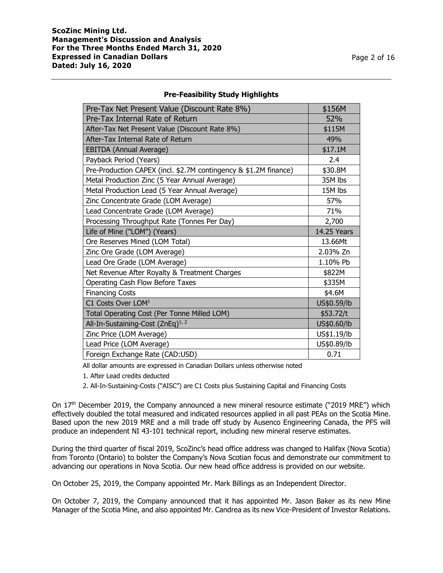| Pre-Tax Net Present Value (Discount Rate 8%)                     | \$156M             |
|------------------------------------------------------------------|--------------------|
| Pre-Tax Internal Rate of Return                                  | 52%                |
| After-Tax Net Present Value (Discount Rate 8%)                   | \$115M             |
| After-Tax Internal Rate of Return                                | 49%                |
| EBITDA (Annual Average)                                          | \$17.1M            |
| Payback Period (Years)                                           | 2.4                |
| Pre-Production CAPEX (incl. \$2.7M contingency & \$1.2M finance) | \$30.8M            |
| Metal Production Zinc (5 Year Annual Average)                    | 35M lbs            |
| Metal Production Lead (5 Year Annual Average)                    | 15M lbs            |
| Zinc Concentrate Grade (LOM Average)                             | 57%                |
| Lead Concentrate Grade (LOM Average)                             | 71%                |
| Processing Throughput Rate (Tonnes Per Day)                      | 2,700              |
| Life of Mine ("LOM") (Years)                                     | <b>14.25 Years</b> |
| Ore Reserves Mined (LOM Total)                                   | 13.66Mt            |
| Zinc Ore Grade (LOM Average)                                     | 2.03% Zn           |
| Lead Ore Grade (LOM Average)                                     | 1.10% Pb           |
| Net Revenue After Royalty & Treatment Charges                    | \$822M             |
| Operating Cash Flow Before Taxes                                 | \$335M             |
| <b>Financing Costs</b>                                           | \$4.6M             |
| C1 Costs Over LOM <sup>1</sup>                                   | US\$0.59/lb        |
| Total Operating Cost (Per Tonne Milled LOM)                      | \$53.72/t          |
| All-In-Sustaining-Cost (ZnEq) <sup>1, 2</sup>                    | US\$0.60/lb        |
| Zinc Price (LOM Average)                                         | US\$1.19/lb        |
| Lead Price (LOM Average)                                         | US\$0.89/lb        |
| Foreign Exchange Rate (CAD:USD)                                  | 0.71               |

### **Pre-Feasibility Study Highlights**

All dollar amounts are expressed in Canadian Dollars unless otherwise noted

1. After Lead credits deducted

2. All-In-Sustaining-Costs ("AISC") are C1 Costs plus Sustaining Capital and Financing Costs

On 17<sup>th</sup> December 2019, the Company announced a new mineral resource estimate ("2019 MRE") which effectively doubled the total measured and indicated resources applied in all past PEAs on the Scotia Mine. Based upon the new 2019 MRE and a mill trade off study by Ausenco Engineering Canada, the PFS will produce an independent NI 43-101 technical report, including new mineral reserve estimates.

During the third quarter of fiscal 2019, ScoZinc's head office address was changed to Halifax (Nova Scotia) from Toronto (Ontario) to bolster the Company's Nova Scotian focus and demonstrate our commitment to advancing our operations in Nova Scotia. Our new head office address is provided on our website.

On October 25, 2019, the Company appointed Mr. Mark Billings as an Independent Director.

On October 7, 2019, the Company announced that it has appointed Mr. Jason Baker as its new Mine Manager of the Scotia Mine, and also appointed Mr. Candrea as its new Vice-President of Investor Relations.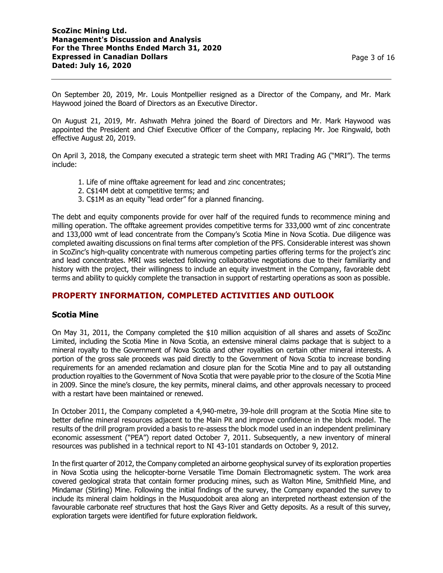On September 20, 2019, Mr. Louis Montpellier resigned as a Director of the Company, and Mr. Mark Haywood joined the Board of Directors as an Executive Director.

On August 21, 2019, Mr. Ashwath Mehra joined the Board of Directors and Mr. Mark Haywood was appointed the President and Chief Executive Officer of the Company, replacing Mr. Joe Ringwald, both effective August 20, 2019.

On April 3, 2018, the Company executed a strategic term sheet with MRI Trading AG ("MRI"). The terms include:

- 1. Life of mine offtake agreement for lead and zinc concentrates;
- 2. C\$14M debt at competitive terms; and
- 3. C\$1M as an equity "lead order" for a planned financing.

The debt and equity components provide for over half of the required funds to recommence mining and milling operation. The offtake agreement provides competitive terms for 333,000 wmt of zinc concentrate and 133,000 wmt of lead concentrate from the Company's Scotia Mine in Nova Scotia. Due diligence was completed awaiting discussions on final terms after completion of the PFS. Considerable interest was shown in ScoZinc's high-quality concentrate with numerous competing parties offering terms for the project's zinc and lead concentrates. MRI was selected following collaborative negotiations due to their familiarity and history with the project, their willingness to include an equity investment in the Company, favorable debt terms and ability to quickly complete the transaction in support of restarting operations as soon as possible.

## **PROPERTY INFORMATION, COMPLETED ACTIVITIES AND OUTLOOK**

## **Scotia Mine**

On May 31, 2011, the Company completed the \$10 million acquisition of all shares and assets of ScoZinc Limited, including the Scotia Mine in Nova Scotia, an extensive mineral claims package that is subject to a mineral royalty to the Government of Nova Scotia and other royalties on certain other mineral interests. A portion of the gross sale proceeds was paid directly to the Government of Nova Scotia to increase bonding requirements for an amended reclamation and closure plan for the Scotia Mine and to pay all outstanding production royalties to the Government of Nova Scotia that were payable prior to the closure of the Scotia Mine in 2009. Since the mine's closure, the key permits, mineral claims, and other approvals necessary to proceed with a restart have been maintained or renewed.

In October 2011, the Company completed a 4,940-metre, 39-hole drill program at the Scotia Mine site to better define mineral resources adjacent to the Main Pit and improve confidence in the block model. The results of the drill program provided a basis to re-assess the block model used in an independent preliminary economic assessment ("PEA") report dated October 7, 2011. Subsequently, a new inventory of mineral resources was published in a technical report to NI 43-101 standards on October 9, 2012.

In the first quarter of 2012, the Company completed an airborne geophysical survey of its exploration properties in Nova Scotia using the helicopter-borne Versatile Time Domain Electromagnetic system. The work area covered geological strata that contain former producing mines, such as Walton Mine, Smithfield Mine, and Mindamar (Stirling) Mine. Following the initial findings of the survey, the Company expanded the survey to include its mineral claim holdings in the Musquodoboit area along an interpreted northeast extension of the favourable carbonate reef structures that host the Gays River and Getty deposits. As a result of this survey, exploration targets were identified for future exploration fieldwork.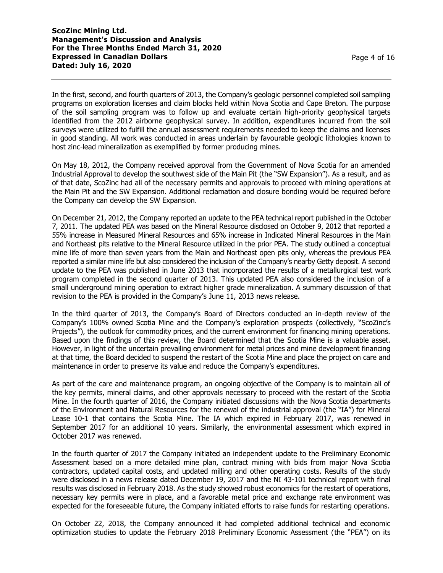In the first, second, and fourth quarters of 2013, the Company's geologic personnel completed soil sampling programs on exploration licenses and claim blocks held within Nova Scotia and Cape Breton. The purpose of the soil sampling program was to follow up and evaluate certain high-priority geophysical targets identified from the 2012 airborne geophysical survey. In addition, expenditures incurred from the soil surveys were utilized to fulfill the annual assessment requirements needed to keep the claims and licenses in good standing. All work was conducted in areas underlain by favourable geologic lithologies known to host zinc-lead mineralization as exemplified by former producing mines.

On May 18, 2012, the Company received approval from the Government of Nova Scotia for an amended Industrial Approval to develop the southwest side of the Main Pit (the "SW Expansion"). As a result, and as of that date, ScoZinc had all of the necessary permits and approvals to proceed with mining operations at the Main Pit and the SW Expansion. Additional reclamation and closure bonding would be required before the Company can develop the SW Expansion.

On December 21, 2012, the Company reported an update to the PEA technical report published in the October 7, 2011. The updated PEA was based on the Mineral Resource disclosed on October 9, 2012 that reported a 55% increase in Measured Mineral Resources and 65% increase in Indicated Mineral Resources in the Main and Northeast pits relative to the Mineral Resource utilized in the prior PEA. The study outlined a conceptual mine life of more than seven years from the Main and Northeast open pits only, whereas the previous PEA reported a similar mine life but also considered the inclusion of the Company's nearby Getty deposit. A second update to the PEA was published in June 2013 that incorporated the results of a metallurgical test work program completed in the second quarter of 2013. This updated PEA also considered the inclusion of a small underground mining operation to extract higher grade mineralization. A summary discussion of that revision to the PEA is provided in the Company's June 11, 2013 news release.

In the third quarter of 2013, the Company's Board of Directors conducted an in-depth review of the Company's 100% owned Scotia Mine and the Company's exploration prospects (collectively, "ScoZinc's Projects"), the outlook for commodity prices, and the current environment for financing mining operations. Based upon the findings of this review, the Board determined that the Scotia Mine is a valuable asset. However, in light of the uncertain prevailing environment for metal prices and mine development financing at that time, the Board decided to suspend the restart of the Scotia Mine and place the project on care and maintenance in order to preserve its value and reduce the Company's expenditures.

As part of the care and maintenance program, an ongoing objective of the Company is to maintain all of the key permits, mineral claims, and other approvals necessary to proceed with the restart of the Scotia Mine. In the fourth quarter of 2016, the Company initiated discussions with the Nova Scotia departments of the Environment and Natural Resources for the renewal of the industrial approval (the "IA") for Mineral Lease 10-1 that contains the Scotia Mine. The IA which expired in February 2017, was renewed in September 2017 for an additional 10 years. Similarly, the environmental assessment which expired in October 2017 was renewed.

In the fourth quarter of 2017 the Company initiated an independent update to the Preliminary Economic Assessment based on a more detailed mine plan, contract mining with bids from major Nova Scotia contractors, updated capital costs, and updated milling and other operating costs. Results of the study were disclosed in a news release dated December 19, 2017 and the NI 43-101 technical report with final results was disclosed in February 2018. As the study showed robust economics for the restart of operations, necessary key permits were in place, and a favorable metal price and exchange rate environment was expected for the foreseeable future, the Company initiated efforts to raise funds for restarting operations.

On October 22, 2018, the Company announced it had completed additional technical and economic optimization studies to update the February 2018 Preliminary Economic Assessment (the "PEA") on its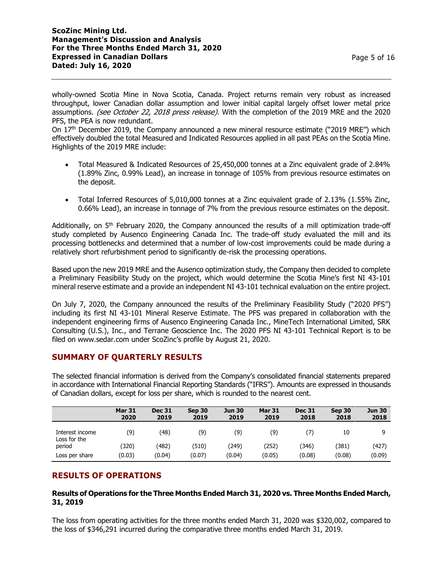Page 5 of 16

wholly-owned Scotia Mine in Nova Scotia, Canada. Project returns remain very robust as increased throughput, lower Canadian dollar assumption and lower initial capital largely offset lower metal price assumptions. (see October 22, 2018 press release). With the completion of the 2019 MRE and the 2020 PFS, the PEA is now redundant.

On 17th December 2019, the Company announced a new mineral resource estimate ("2019 MRE") which effectively doubled the total Measured and Indicated Resources applied in all past PEAs on the Scotia Mine. Highlights of the 2019 MRE include:

- Total Measured & Indicated Resources of 25,450,000 tonnes at a Zinc equivalent grade of 2.84% (1.89% Zinc, 0.99% Lead), an increase in tonnage of 105% from previous resource estimates on the deposit.
- Total Inferred Resources of 5,010,000 tonnes at a Zinc equivalent grade of 2.13% (1.55% Zinc, 0.66% Lead), an increase in tonnage of 7% from the previous resource estimates on the deposit.

Additionally, on  $5<sup>th</sup>$  February 2020, the Company announced the results of a mill optimization trade-off study completed by Ausenco Engineering Canada Inc. The trade-off study evaluated the mill and its processing bottlenecks and determined that a number of low-cost improvements could be made during a relatively short refurbishment period to significantly de-risk the processing operations.

Based upon the new 2019 MRE and the Ausenco optimization study, the Company then decided to complete a Preliminary Feasibility Study on the project, which would determine the Scotia Mine's first NI 43-101 mineral reserve estimate and a provide an independent NI 43-101 technical evaluation on the entire project.

On July 7, 2020, the Company announced the results of the Preliminary Feasibility Study ("2020 PFS") including its first NI 43-101 Mineral Reserve Estimate. The PFS was prepared in collaboration with the independent engineering firms of Ausenco Engineering Canada Inc., MineTech International Limited, SRK Consulting (U.S.), Inc., and Terrane Geoscience Inc. The 2020 PFS NI 43-101 Technical Report is to be filed on www.sedar.com under ScoZinc's profile by August 21, 2020.

## **SUMMARY OF QUARTERLY RESULTS**

The selected financial information is derived from the Company's consolidated financial statements prepared in accordance with International Financial Reporting Standards ("IFRS"). Amounts are expressed in thousands of Canadian dollars, except for loss per share, which is rounded to the nearest cent.

|                                 | <b>Mar 31</b><br>2020 | <b>Dec 31</b><br>2019 | Sep 30<br>2019 | <b>Jun 30</b><br>2019 | <b>Mar 31</b><br>2019 | <b>Dec 31</b><br>2018 | Sep 30<br>2018 | <b>Jun 30</b><br>2018 |
|---------------------------------|-----------------------|-----------------------|----------------|-----------------------|-----------------------|-----------------------|----------------|-----------------------|
| Interest income<br>Loss for the | (9)                   | (48)                  | (9)            | (9)                   | (9)                   | 7)                    | 10             | a                     |
| period                          | (320                  | (482)                 | (510)          | (249)                 | (252)                 | (346)                 | (381)          | (427)                 |
| Loss per share                  | (0.03)                | (0.04)                | (0.07)         | (0.04)                | (0.05)                | (0.08)                | (0.08)         | (0.09)                |

## **RESULTS OF OPERATIONS**

### **Results of Operations for the Three Months Ended March 31, 2020 vs. Three Months Ended March, 31, 2019**

The loss from operating activities for the three months ended March 31, 2020 was \$320,002, compared to the loss of \$346,291 incurred during the comparative three months ended March 31, 2019.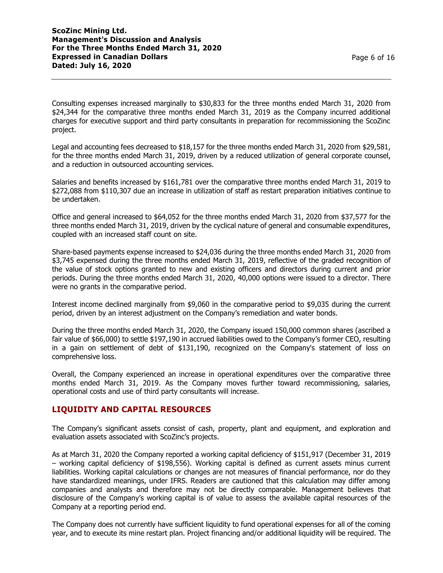Consulting expenses increased marginally to \$30,833 for the three months ended March 31, 2020 from \$24,344 for the comparative three months ended March 31, 2019 as the Company incurred additional charges for executive support and third party consultants in preparation for recommissioning the ScoZinc project.

Legal and accounting fees decreased to \$18,157 for the three months ended March 31, 2020 from \$29,581, for the three months ended March 31, 2019, driven by a reduced utilization of general corporate counsel, and a reduction in outsourced accounting services.

Salaries and benefits increased by \$161,781 over the comparative three months ended March 31, 2019 to \$272,088 from \$110,307 due an increase in utilization of staff as restart preparation initiatives continue to be undertaken.

Office and general increased to \$64,052 for the three months ended March 31, 2020 from \$37,577 for the three months ended March 31, 2019, driven by the cyclical nature of general and consumable expenditures, coupled with an increased staff count on site.

Share-based payments expense increased to \$24,036 during the three months ended March 31, 2020 from \$3,745 expensed during the three months ended March 31, 2019, reflective of the graded recognition of the value of stock options granted to new and existing officers and directors during current and prior periods. During the three months ended March 31, 2020, 40,000 options were issued to a director. There were no grants in the comparative period.

Interest income declined marginally from \$9,060 in the comparative period to \$9,035 during the current period, driven by an interest adjustment on the Company's remediation and water bonds.

During the three months ended March 31, 2020, the Company issued 150,000 common shares (ascribed a fair value of \$66,000) to settle \$197,190 in accrued liabilities owed to the Company's former CEO, resulting in a gain on settlement of debt of \$131,190, recognized on the Company's statement of loss on comprehensive loss.

Overall, the Company experienced an increase in operational expenditures over the comparative three months ended March 31, 2019. As the Company moves further toward recommissioning, salaries, operational costs and use of third party consultants will increase.

## **LIQUIDITY AND CAPITAL RESOURCES**

The Company's significant assets consist of cash, property, plant and equipment, and exploration and evaluation assets associated with ScoZinc's projects.

As at March 31, 2020 the Company reported a working capital deficiency of \$151,917 (December 31, 2019 – working capital deficiency of \$198,556). Working capital is defined as current assets minus current liabilities. Working capital calculations or changes are not measures of financial performance, nor do they have standardized meanings, under IFRS. Readers are cautioned that this calculation may differ among companies and analysts and therefore may not be directly comparable. Management believes that disclosure of the Company's working capital is of value to assess the available capital resources of the Company at a reporting period end.

The Company does not currently have sufficient liquidity to fund operational expenses for all of the coming year, and to execute its mine restart plan. Project financing and/or additional liquidity will be required. The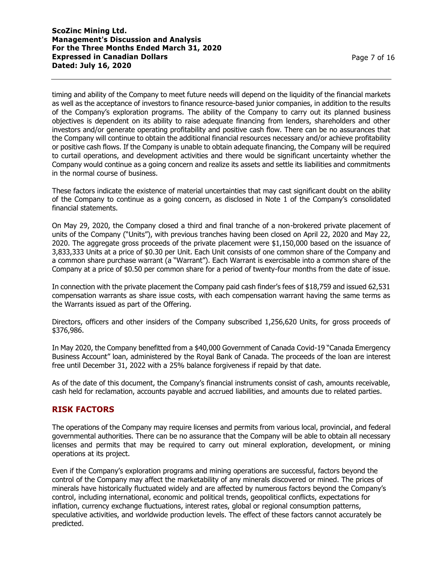timing and ability of the Company to meet future needs will depend on the liquidity of the financial markets as well as the acceptance of investors to finance resource-based junior companies, in addition to the results of the Company's exploration programs. The ability of the Company to carry out its planned business objectives is dependent on its ability to raise adequate financing from lenders, shareholders and other investors and/or generate operating profitability and positive cash flow. There can be no assurances that the Company will continue to obtain the additional financial resources necessary and/or achieve profitability or positive cash flows. If the Company is unable to obtain adequate financing, the Company will be required to curtail operations, and development activities and there would be significant uncertainty whether the Company would continue as a going concern and realize its assets and settle its liabilities and commitments in the normal course of business.

These factors indicate the existence of material uncertainties that may cast significant doubt on the ability of the Company to continue as a going concern, as disclosed in Note 1 of the Company's consolidated financial statements.

On May 29, 2020, the Company closed a third and final tranche of a non-brokered private placement of units of the Company ("Units"), with previous tranches having been closed on April 22, 2020 and May 22, 2020. The aggregate gross proceeds of the private placement were \$1,150,000 based on the issuance of 3,833,333 Units at a price of \$0.30 per Unit. Each Unit consists of one common share of the Company and a common share purchase warrant (a "Warrant"). Each Warrant is exercisable into a common share of the Company at a price of \$0.50 per common share for a period of twenty-four months from the date of issue.

In connection with the private placement the Company paid cash finder's fees of \$18,759 and issued 62,531 compensation warrants as share issue costs, with each compensation warrant having the same terms as the Warrants issued as part of the Offering.

Directors, officers and other insiders of the Company subscribed 1,256,620 Units, for gross proceeds of \$376,986.

In May 2020, the Company benefitted from a \$40,000 Government of Canada Covid-19 "Canada Emergency Business Account" loan, administered by the Royal Bank of Canada. The proceeds of the loan are interest free until December 31, 2022 with a 25% balance forgiveness if repaid by that date.

As of the date of this document, the Company's financial instruments consist of cash, amounts receivable, cash held for reclamation, accounts payable and accrued liabilities, and amounts due to related parties.

## **RISK FACTORS**

The operations of the Company may require licenses and permits from various local, provincial, and federal governmental authorities. There can be no assurance that the Company will be able to obtain all necessary licenses and permits that may be required to carry out mineral exploration, development, or mining operations at its project.

Even if the Company's exploration programs and mining operations are successful, factors beyond the control of the Company may affect the marketability of any minerals discovered or mined. The prices of minerals have historically fluctuated widely and are affected by numerous factors beyond the Company's control, including international, economic and political trends, geopolitical conflicts, expectations for inflation, currency exchange fluctuations, interest rates, global or regional consumption patterns, speculative activities, and worldwide production levels. The effect of these factors cannot accurately be predicted.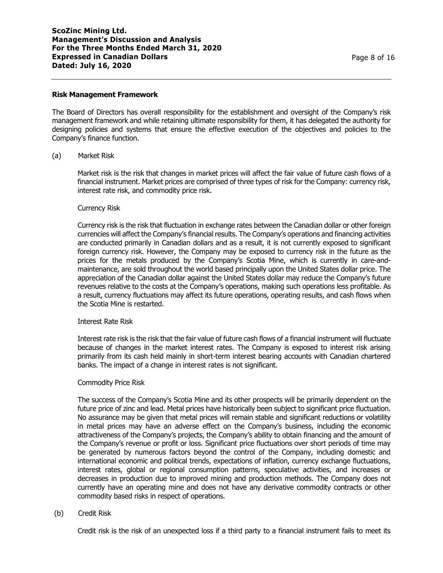#### **Risk Management Framework**

The Board of Directors has overall responsibility for the establishment and oversight of the Company's risk management framework and while retaining ultimate responsibility for them, it has delegated the authority for designing policies and systems that ensure the effective execution of the objectives and policies to the Company's finance function.

#### (a) Market Risk

Market risk is the risk that changes in market prices will affect the fair value of future cash flows of a financial instrument. Market prices are comprised of three types of risk for the Company: currency risk, interest rate risk, and commodity price risk.

#### Currency Risk

Currency risk is the risk that fluctuation in exchange rates between the Canadian dollar or other foreign currencies will affect the Company's financial results. The Company's operations and financing activities are conducted primarily in Canadian dollars and as a result, it is not currently exposed to significant foreign currency risk. However, the Company may be exposed to currency risk in the future as the prices for the metals produced by the Company's Scotia Mine, which is currently in care-andmaintenance, are sold throughout the world based principally upon the United States dollar price. The appreciation of the Canadian dollar against the United States dollar may reduce the Company's future revenues relative to the costs at the Company's operations, making such operations less profitable. As a result, currency fluctuations may affect its future operations, operating results, and cash flows when the Scotia Mine is restarted.

#### Interest Rate Risk

Interest rate risk is the risk that the fair value of future cash flows of a financial instrument will fluctuate because of changes in the market interest rates. The Company is exposed to interest risk arising primarily from its cash held mainly in short-term interest bearing accounts with Canadian chartered banks. The impact of a change in interest rates is not significant.

### Commodity Price Risk

The success of the Company's Scotia Mine and its other prospects will be primarily dependent on the future price of zinc and lead. Metal prices have historically been subject to significant price fluctuation. No assurance may be given that metal prices will remain stable and significant reductions or volatility in metal prices may have an adverse effect on the Company's business, including the economic attractiveness of the Company's projects, the Company's ability to obtain financing and the amount of the Company's revenue or profit or loss. Significant price fluctuations over short periods of time may be generated by numerous factors beyond the control of the Company, including domestic and international economic and political trends, expectations of inflation, currency exchange fluctuations, interest rates, global or regional consumption patterns, speculative activities, and increases or decreases in production due to improved mining and production methods. The Company does not currently have an operating mine and does not have any derivative commodity contracts or other commodity based risks in respect of operations.

(b) Credit Risk

Credit risk is the risk of an unexpected loss if a third party to a financial instrument fails to meet its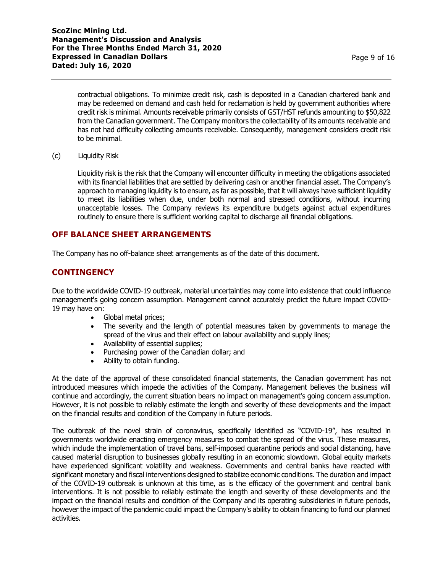contractual obligations. To minimize credit risk, cash is deposited in a Canadian chartered bank and may be redeemed on demand and cash held for reclamation is held by government authorities where credit risk is minimal. Amounts receivable primarily consists of GST/HST refunds amounting to \$50,822 from the Canadian government. The Company monitors the collectability of its amounts receivable and has not had difficulty collecting amounts receivable. Consequently, management considers credit risk to be minimal.

(c) Liquidity Risk

Liquidity risk is the risk that the Company will encounter difficulty in meeting the obligations associated with its financial liabilities that are settled by delivering cash or another financial asset. The Company's approach to managing liquidity is to ensure, as far as possible, that it will always have sufficient liquidity to meet its liabilities when due, under both normal and stressed conditions, without incurring unacceptable losses. The Company reviews its expenditure budgets against actual expenditures routinely to ensure there is sufficient working capital to discharge all financial obligations.

# **OFF BALANCE SHEET ARRANGEMENTS**

The Company has no off-balance sheet arrangements as of the date of this document.

# **CONTINGENCY**

Due to the worldwide COVID-19 outbreak, material uncertainties may come into existence that could influence management's going concern assumption. Management cannot accurately predict the future impact COVID-19 may have on:

- Global metal prices;
- The severity and the length of potential measures taken by governments to manage the spread of the virus and their effect on labour availability and supply lines;
- Availability of essential supplies;
- Purchasing power of the Canadian dollar; and
- Ability to obtain funding.

At the date of the approval of these consolidated financial statements, the Canadian government has not introduced measures which impede the activities of the Company. Management believes the business will continue and accordingly, the current situation bears no impact on management's going concern assumption. However, it is not possible to reliably estimate the length and severity of these developments and the impact on the financial results and condition of the Company in future periods.

The outbreak of the novel strain of coronavirus, specifically identified as "COVID-19", has resulted in governments worldwide enacting emergency measures to combat the spread of the virus. These measures, which include the implementation of travel bans, self-imposed quarantine periods and social distancing, have caused material disruption to businesses globally resulting in an economic slowdown. Global equity markets have experienced significant volatility and weakness. Governments and central banks have reacted with significant monetary and fiscal interventions designed to stabilize economic conditions. The duration and impact of the COVID-19 outbreak is unknown at this time, as is the efficacy of the government and central bank interventions. It is not possible to reliably estimate the length and severity of these developments and the impact on the financial results and condition of the Company and its operating subsidiaries in future periods, however the impact of the pandemic could impact the Company's ability to obtain financing to fund our planned activities.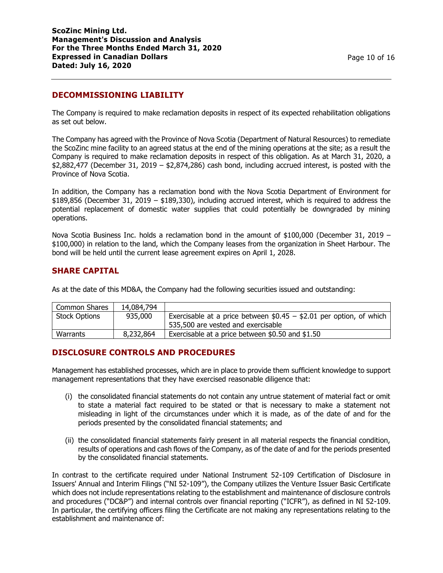# **DECOMMISSIONING LIABILITY**

The Company is required to make reclamation deposits in respect of its expected rehabilitation obligations as set out below.

The Company has agreed with the Province of Nova Scotia (Department of Natural Resources) to remediate the ScoZinc mine facility to an agreed status at the end of the mining operations at the site; as a result the Company is required to make reclamation deposits in respect of this obligation. As at March 31, 2020, a \$2,882,477 (December 31, 2019 – \$2,874,286) cash bond, including accrued interest, is posted with the Province of Nova Scotia.

In addition, the Company has a reclamation bond with the Nova Scotia Department of Environment for \$189,856 (December 31, 2019 – \$189,330), including accrued interest, which is required to address the potential replacement of domestic water supplies that could potentially be downgraded by mining operations.

Nova Scotia Business Inc. holds a reclamation bond in the amount of \$100,000 (December 31, 2019 – \$100,000) in relation to the land, which the Company leases from the organization in Sheet Harbour. The bond will be held until the current lease agreement expires on April 1, 2028.

## **SHARE CAPITAL**

As at the date of this MD&A, the Company had the following securities issued and outstanding:

| Common Shares        | 14,084,794 |                                                                                                           |
|----------------------|------------|-----------------------------------------------------------------------------------------------------------|
| <b>Stock Options</b> | 935,000    | Exercisable at a price between $$0.45 - $2.01$ per option, of which<br>535,500 are vested and exercisable |
| Warrants             | 8,232,864  | Exercisable at a price between \$0.50 and \$1.50                                                          |

## **DISCLOSURE CONTROLS AND PROCEDURES**

Management has established processes, which are in place to provide them sufficient knowledge to support management representations that they have exercised reasonable diligence that:

- (i) the consolidated financial statements do not contain any untrue statement of material fact or omit to state a material fact required to be stated or that is necessary to make a statement not misleading in light of the circumstances under which it is made, as of the date of and for the periods presented by the consolidated financial statements; and
- (ii) the consolidated financial statements fairly present in all material respects the financial condition, results of operations and cash flows of the Company, as of the date of and for the periods presented by the consolidated financial statements.

In contrast to the certificate required under National Instrument 52-109 Certification of Disclosure in Issuers' Annual and Interim Filings ("NI 52-109"), the Company utilizes the Venture Issuer Basic Certificate which does not include representations relating to the establishment and maintenance of disclosure controls and procedures ("DC&P") and internal controls over financial reporting ("ICFR"), as defined in NI 52-109. In particular, the certifying officers filing the Certificate are not making any representations relating to the establishment and maintenance of: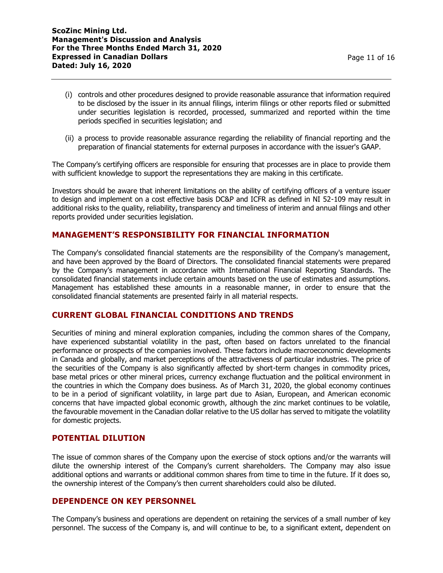- (i) controls and other procedures designed to provide reasonable assurance that information required to be disclosed by the issuer in its annual filings, interim filings or other reports filed or submitted under securities legislation is recorded, processed, summarized and reported within the time periods specified in securities legislation; and
- (ii) a process to provide reasonable assurance regarding the reliability of financial reporting and the preparation of financial statements for external purposes in accordance with the issuer's GAAP.

The Company's certifying officers are responsible for ensuring that processes are in place to provide them with sufficient knowledge to support the representations they are making in this certificate.

Investors should be aware that inherent limitations on the ability of certifying officers of a venture issuer to design and implement on a cost effective basis DC&P and ICFR as defined in NI 52-109 may result in additional risks to the quality, reliability, transparency and timeliness of interim and annual filings and other reports provided under securities legislation.

## **MANAGEMENT'S RESPONSIBILITY FOR FINANCIAL INFORMATION**

The Company's consolidated financial statements are the responsibility of the Company's management, and have been approved by the Board of Directors. The consolidated financial statements were prepared by the Company's management in accordance with International Financial Reporting Standards. The consolidated financial statements include certain amounts based on the use of estimates and assumptions. Management has established these amounts in a reasonable manner, in order to ensure that the consolidated financial statements are presented fairly in all material respects.

## **CURRENT GLOBAL FINANCIAL CONDITIONS AND TRENDS**

Securities of mining and mineral exploration companies, including the common shares of the Company, have experienced substantial volatility in the past, often based on factors unrelated to the financial performance or prospects of the companies involved. These factors include macroeconomic developments in Canada and globally, and market perceptions of the attractiveness of particular industries. The price of the securities of the Company is also significantly affected by short-term changes in commodity prices, base metal prices or other mineral prices, currency exchange fluctuation and the political environment in the countries in which the Company does business. As of March 31, 2020, the global economy continues to be in a period of significant volatility, in large part due to Asian, European, and American economic concerns that have impacted global economic growth, although the zinc market continues to be volatile, the favourable movement in the Canadian dollar relative to the US dollar has served to mitigate the volatility for domestic projects.

## **POTENTIAL DILUTION**

The issue of common shares of the Company upon the exercise of stock options and/or the warrants will dilute the ownership interest of the Company's current shareholders. The Company may also issue additional options and warrants or additional common shares from time to time in the future. If it does so, the ownership interest of the Company's then current shareholders could also be diluted.

# **DEPENDENCE ON KEY PERSONNEL**

The Company's business and operations are dependent on retaining the services of a small number of key personnel. The success of the Company is, and will continue to be, to a significant extent, dependent on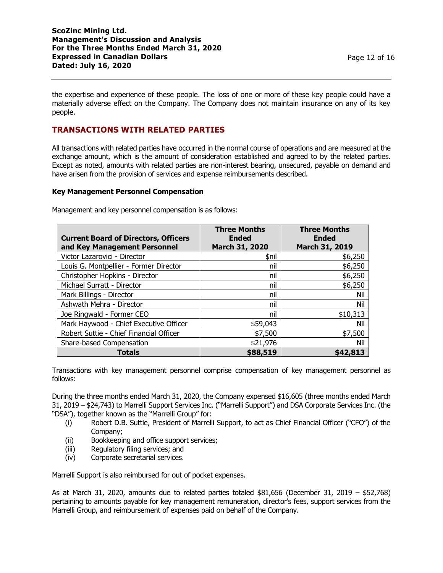the expertise and experience of these people. The loss of one or more of these key people could have a materially adverse effect on the Company. The Company does not maintain insurance on any of its key people.

# **TRANSACTIONS WITH RELATED PARTIES**

All transactions with related parties have occurred in the normal course of operations and are measured at the exchange amount, which is the amount of consideration established and agreed to by the related parties. Except as noted, amounts with related parties are non-interest bearing, unsecured, payable on demand and have arisen from the provision of services and expense reimbursements described.

### **Key Management Personnel Compensation**

| Management and key personnel compensation is as follows: |  |
|----------------------------------------------------------|--|
|                                                          |  |

| <b>Current Board of Directors, Officers</b> | <b>Three Months</b><br><b>Ended</b> | <b>Three Months</b><br><b>Ended</b> |
|---------------------------------------------|-------------------------------------|-------------------------------------|
| and Key Management Personnel                | March 31, 2020                      | March 31, 2019                      |
| Victor Lazarovici - Director                | \$nil                               | \$6,250                             |
| Louis G. Montpellier - Former Director      | nil                                 | \$6,250                             |
| Christopher Hopkins - Director              | nil                                 | \$6,250                             |
| Michael Surratt - Director                  | nil                                 | \$6,250                             |
| Mark Billings - Director                    | nil                                 | Nil                                 |
| Ashwath Mehra - Director                    | nil                                 | Nil                                 |
| Joe Ringwald - Former CEO                   | nil                                 | \$10,313                            |
| Mark Haywood - Chief Executive Officer      | \$59,043                            | Nil                                 |
| Robert Suttie - Chief Financial Officer     | \$7,500                             | \$7,500                             |
| Share-based Compensation                    | \$21,976                            | Nil                                 |
| <b>Totals</b>                               | \$88,519                            | \$42,813                            |

Transactions with key management personnel comprise compensation of key management personnel as follows:

During the three months ended March 31, 2020, the Company expensed \$16,605 (three months ended March 31, 2019 – \$24,743) to Marrelli Support Services Inc. ("Marrelli Support") and DSA Corporate Services Inc. (the "DSA"), together known as the "Marrelli Group" for:

- (i) Robert D.B. Suttie, President of Marrelli Support, to act as Chief Financial Officer ("CFO") of the Company;
- (ii) Bookkeeping and office support services;
- (iii) Regulatory filing services; and
- (iv) Corporate secretarial services.

Marrelli Support is also reimbursed for out of pocket expenses.

As at March 31, 2020, amounts due to related parties totaled  $$81,656$  (December 31, 2019 –  $$52,768$ ) pertaining to amounts payable for key management remuneration, director's fees, support services from the Marrelli Group, and reimbursement of expenses paid on behalf of the Company.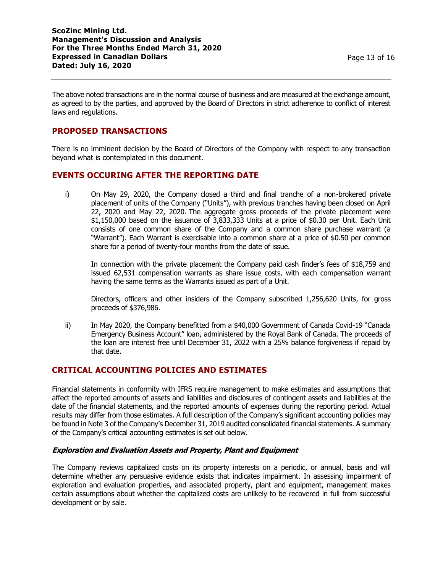The above noted transactions are in the normal course of business and are measured at the exchange amount, as agreed to by the parties, and approved by the Board of Directors in strict adherence to conflict of interest laws and regulations.

## **PROPOSED TRANSACTIONS**

There is no imminent decision by the Board of Directors of the Company with respect to any transaction beyond what is contemplated in this document.

## **EVENTS OCCURING AFTER THE REPORTING DATE**

i) On May 29, 2020, the Company closed a third and final tranche of a non-brokered private placement of units of the Company ("Units"), with previous tranches having been closed on April 22, 2020 and May 22, 2020. The aggregate gross proceeds of the private placement were \$1,150,000 based on the issuance of 3,833,333 Units at a price of \$0.30 per Unit. Each Unit consists of one common share of the Company and a common share purchase warrant (a "Warrant"). Each Warrant is exercisable into a common share at a price of \$0.50 per common share for a period of twenty-four months from the date of issue.

In connection with the private placement the Company paid cash finder's fees of \$18,759 and issued 62,531 compensation warrants as share issue costs, with each compensation warrant having the same terms as the Warrants issued as part of a Unit.

Directors, officers and other insiders of the Company subscribed 1,256,620 Units, for gross proceeds of \$376,986.

ii) In May 2020, the Company benefitted from a \$40,000 Government of Canada Covid-19 "Canada Emergency Business Account" loan, administered by the Royal Bank of Canada. The proceeds of the loan are interest free until December 31, 2022 with a 25% balance forgiveness if repaid by that date.

## **CRITICAL ACCOUNTING POLICIES AND ESTIMATES**

Financial statements in conformity with IFRS require management to make estimates and assumptions that affect the reported amounts of assets and liabilities and disclosures of contingent assets and liabilities at the date of the financial statements, and the reported amounts of expenses during the reporting period. Actual results may differ from those estimates. A full description of the Company's significant accounting policies may be found in Note 3 of the Company's December 31, 2019 audited consolidated financial statements. A summary of the Company's critical accounting estimates is set out below.

## **Exploration and Evaluation Assets and Property, Plant and Equipment**

The Company reviews capitalized costs on its property interests on a periodic, or annual, basis and will determine whether any persuasive evidence exists that indicates impairment. In assessing impairment of exploration and evaluation properties, and associated property, plant and equipment, management makes certain assumptions about whether the capitalized costs are unlikely to be recovered in full from successful development or by sale.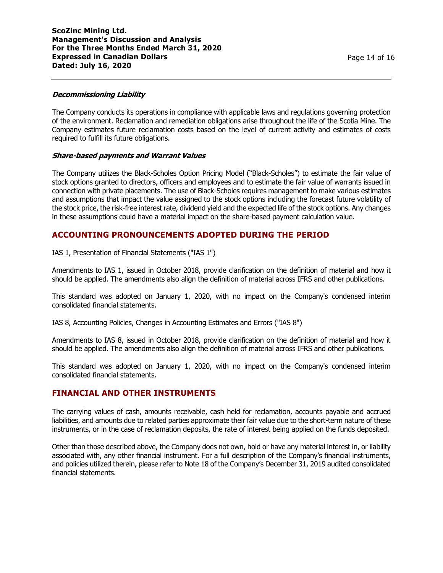#### **Decommissioning Liability**

The Company conducts its operations in compliance with applicable laws and regulations governing protection of the environment. Reclamation and remediation obligations arise throughout the life of the Scotia Mine. The Company estimates future reclamation costs based on the level of current activity and estimates of costs required to fulfill its future obligations.

### **Share-based payments and Warrant Values**

The Company utilizes the Black-Scholes Option Pricing Model ("Black-Scholes") to estimate the fair value of stock options granted to directors, officers and employees and to estimate the fair value of warrants issued in connection with private placements. The use of Black-Scholes requires management to make various estimates and assumptions that impact the value assigned to the stock options including the forecast future volatility of the stock price, the risk-free interest rate, dividend yield and the expected life of the stock options. Any changes in these assumptions could have a material impact on the share-based payment calculation value.

## **ACCOUNTING PRONOUNCEMENTS ADOPTED DURING THE PERIOD**

#### IAS 1, Presentation of Financial Statements ("IAS 1")

Amendments to IAS 1, issued in October 2018, provide clarification on the definition of material and how it should be applied. The amendments also align the definition of material across IFRS and other publications.

This standard was adopted on January 1, 2020, with no impact on the Company's condensed interim consolidated financial statements.

### IAS 8, Accounting Policies, Changes in Accounting Estimates and Errors ("IAS 8")

Amendments to IAS 8, issued in October 2018, provide clarification on the definition of material and how it should be applied. The amendments also align the definition of material across IFRS and other publications.

This standard was adopted on January 1, 2020, with no impact on the Company's condensed interim consolidated financial statements.

### **FINANCIAL AND OTHER INSTRUMENTS**

The carrying values of cash, amounts receivable, cash held for reclamation, accounts payable and accrued liabilities, and amounts due to related parties approximate their fair value due to the short-term nature of these instruments, or in the case of reclamation deposits, the rate of interest being applied on the funds deposited.

Other than those described above, the Company does not own, hold or have any material interest in, or liability associated with, any other financial instrument. For a full description of the Company's financial instruments, and policies utilized therein, please refer to Note 18 of the Company's December 31, 2019 audited consolidated financial statements.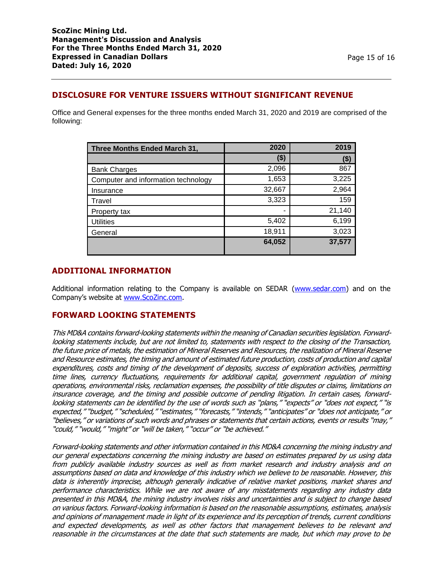# **DISCLOSURE FOR VENTURE ISSUERS WITHOUT SIGNIFICANT REVENUE**

Office and General expenses for the three months ended March 31, 2020 and 2019 are comprised of the following:

| Three Months Ended March 31,        | 2020   | 2019   |
|-------------------------------------|--------|--------|
|                                     | (\$)   | (\$)   |
| <b>Bank Charges</b>                 | 2,096  | 867    |
| Computer and information technology | 1,653  | 3,225  |
| Insurance                           | 32,667 | 2,964  |
| Travel                              | 3,323  | 159    |
| Property tax                        |        | 21,140 |
| <b>Utilities</b>                    | 5,402  | 6,199  |
| General                             | 18,911 | 3,023  |
|                                     | 64,052 | 37,577 |

## **ADDITIONAL INFORMATION**

Additional information relating to the Company is available on SEDAR [\(www.sedar.com\)](http://www.sedar.com/) and on the Company's website at [www.ScoZinc.com.](http://www.scozinc.com/)

## **FORWARD LOOKING STATEMENTS**

This MD&A contains forward-looking statements within the meaning of Canadian securities legislation. Forwardlooking statements include, but are not limited to, statements with respect to the closing of the Transaction, the future price of metals, the estimation of Mineral Reserves and Resources, the realization of Mineral Reserve and Resource estimates, the timing and amount of estimated future production, costs of production and capital expenditures, costs and timing of the development of deposits, success of exploration activities, permitting time lines, currency fluctuations, requirements for additional capital, government regulation of mining operations, environmental risks, reclamation expenses, the possibility of title disputes or claims, limitations on insurance coverage, and the timing and possible outcome of pending litigation. In certain cases, forwardlooking statements can be identified by the use of words such as "plans," "expects" or "does not expect," "is expected," "budget," "scheduled," "estimates," "forecasts," "intends," "anticipates" or "does not anticipate," or "believes," or variations of such words and phrases or statements that certain actions, events or results "may," "could," "would," "might" or "will be taken," "occur" or "be achieved."

Forward-looking statements and other information contained in this MD&A concerning the mining industry and our general expectations concerning the mining industry are based on estimates prepared by us using data from publicly available industry sources as well as from market research and industry analysis and on assumptions based on data and knowledge of this industry which we believe to be reasonable. However, this data is inherently imprecise, although generally indicative of relative market positions, market shares and performance characteristics. While we are not aware of any misstatements regarding any industry data presented in this MD&A, the mining industry involves risks and uncertainties and is subject to change based on various factors. Forward-looking information is based on the reasonable assumptions, estimates, analysis and opinions of management made in light of its experience and its perception of trends, current conditions and expected developments, as well as other factors that management believes to be relevant and reasonable in the circumstances at the date that such statements are made, but which may prove to be